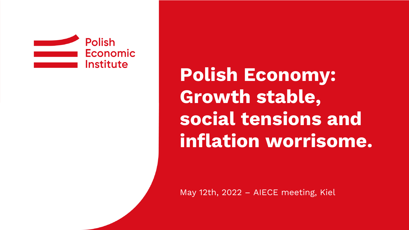

**Polish Economy: Growth stable, social tensions and inflation worrisome.**

May 12th, 2022 – AIECE meeting, Kiel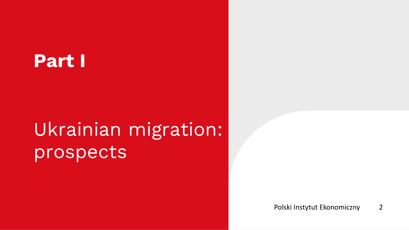## **Part I**

# Ukrainian migration: prospects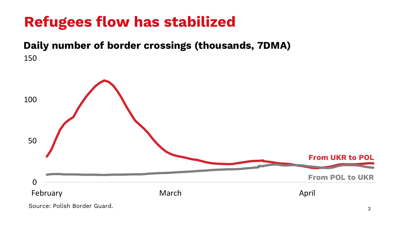## **Refugees flow has stabilized**

#### **Daily number of border crossings (thousands, 7DMA)** 150

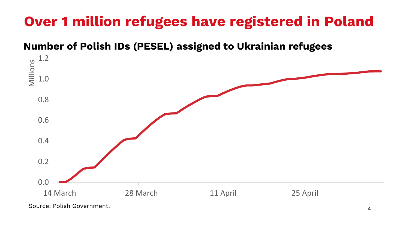## **Over 1 million refugees have registered in Poland**

#### **Number of Polish IDs (PESEL) assigned to Ukrainian refugees**

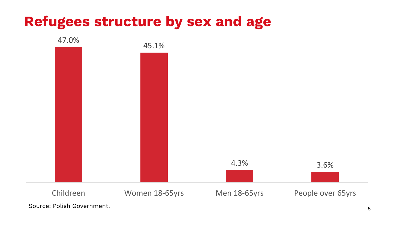### **Refugees structure by sex and age**

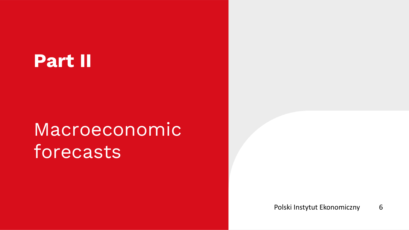## **Part II**

# Macroeconomic forecasts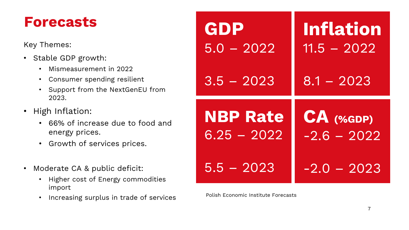#### **Forecasts**

Key Themes:

- Stable GDP growth:
	- Mismeasurement in 2022
	- Consumer spending resilient
	- Support from the NextGenEU from 2023.
- High Inflation:
	- 66% of increase due to food and energy prices.
	- Growth of services prices.
- Moderate CA & public deficit:
	- Higher cost of Energy commodities import
	- Increasing surplus in trade of services Polish Economic Institute Forecasts

| GDP             | <b>Inflation</b> |
|-----------------|------------------|
| $5.0 - 2022$    | $11.5 - 2022$    |
| $3.5 - 2023$    | $8.1 - 2023$     |
|                 |                  |
| <b>NBP Rate</b> | CA (%GDP)        |
| $6.25 - 2022$   | $-2.6 - 2022$    |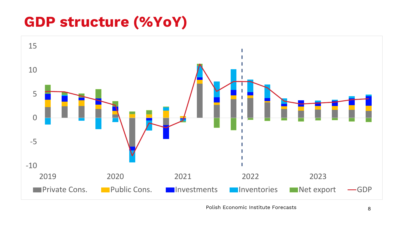### **GDP structure (%YoY)**



Polish Economic Institute Forecasts 8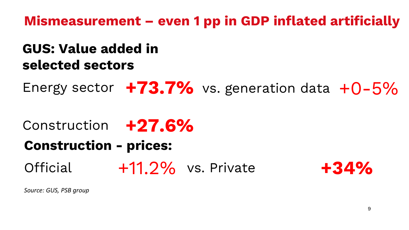**Mismeasurement – even 1 pp in GDP inflated artificially** 

#### **GUS: Value added in selected sectors**

Energy sector +73.7% vs. generation data +0-5%

## Construction **+27.6% Construction - prices:**

Official +11.2% vs. Private **+34%**



*Source: GUS, PSB group*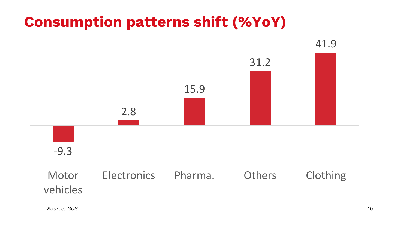### **Consumption patterns shift (%YoY)**

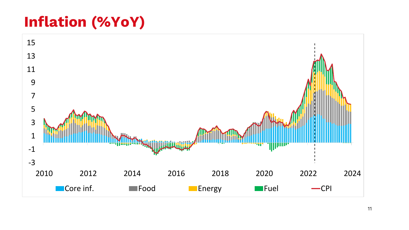### **Inflation (%YoY)**

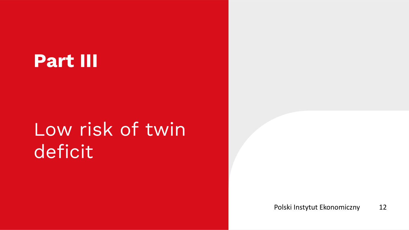## **Part III**

# Low risk of twin deficit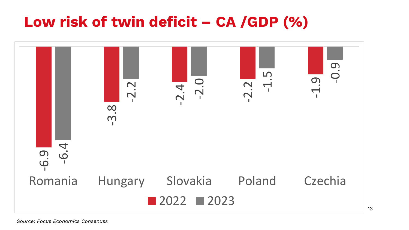### **Low risk of twin deficit – CA /GDP (%)**

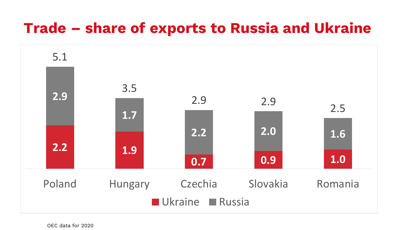#### **Trade – share of exports to Russia and Ukraine**

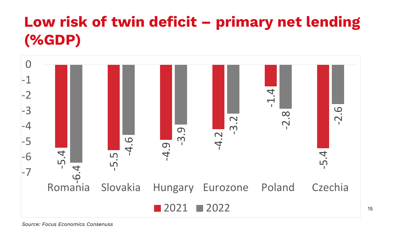## **Low risk of twin deficit – primary net lending (%GDP)**